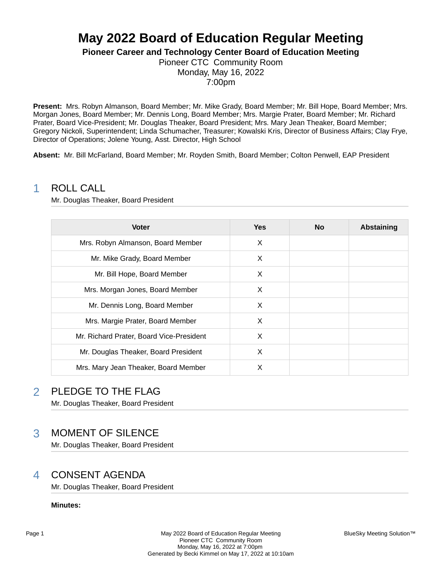# **May 2022 Board of Education Regular Meeting**

**Pioneer Career and Technology Center Board of Education Meeting**

Pioneer CTC Community Room Monday, May 16, 2022 7:00pm

**Present:** Mrs. Robyn Almanson, Board Member; Mr. Mike Grady, Board Member; Mr. Bill Hope, Board Member; Mrs. Morgan Jones, Board Member; Mr. Dennis Long, Board Member; Mrs. Margie Prater, Board Member; Mr. Richard Prater, Board Vice-President; Mr. Douglas Theaker, Board President; Mrs. Mary Jean Theaker, Board Member; Gregory Nickoli, Superintendent; Linda Schumacher, Treasurer; Kowalski Kris, Director of Business Affairs; Clay Frye, Director of Operations; Jolene Young, Asst. Director, High School

**Absent:** Mr. Bill McFarland, Board Member; Mr. Royden Smith, Board Member; Colton Penwell, EAP President

### 1 ROLL CALL

Mr. Douglas Theaker, Board President

| <b>Voter</b>                             | <b>Yes</b> | <b>No</b> | <b>Abstaining</b> |
|------------------------------------------|------------|-----------|-------------------|
| Mrs. Robyn Almanson, Board Member        | X          |           |                   |
| Mr. Mike Grady, Board Member             | X          |           |                   |
| Mr. Bill Hope, Board Member              | X          |           |                   |
| Mrs. Morgan Jones, Board Member          | X          |           |                   |
| Mr. Dennis Long, Board Member            | X          |           |                   |
| Mrs. Margie Prater, Board Member         | X          |           |                   |
| Mr. Richard Prater, Board Vice-President | X          |           |                   |
| Mr. Douglas Theaker, Board President     | X          |           |                   |
| Mrs. Mary Jean Theaker, Board Member     | X          |           |                   |

## 2 PLEDGE TO THE FLAG

Mr. Douglas Theaker, Board President

## 3 MOMENT OF SILENCE

Mr. Douglas Theaker, Board President

## 4 CONSENT AGENDA

Mr. Douglas Theaker, Board President

**Minutes:**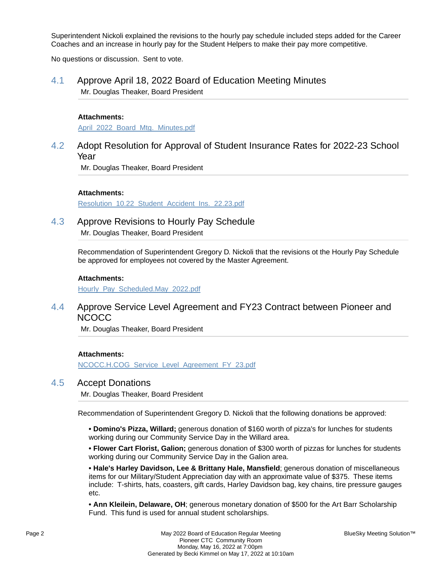Superintendent Nickoli explained the revisions to the hourly pay schedule included steps added for the Career Coaches and an increase in hourly pay for the Student Helpers to make their pay more competitive.

No questions or discussion. Sent to vote.

### 4.1 Approve April 18, 2022 Board of Education Meeting Minutes Mr. Douglas Theaker, Board President

#### **Attachments:**

April 2022 Board Mtg. Minutes.pdf

### 4.2 Adopt Resolution for Approval of Student Insurance Rates for 2022-23 School Year

Mr. Douglas Theaker, Board President

#### **Attachments:**

Resolution\_10.22\_Student\_Accident\_Ins.\_22.23.pdf

### 4.3 Approve Revisions to Hourly Pay Schedule

Mr. Douglas Theaker, Board President

Recommendation of Superintendent Gregory D. Nickoli that the revisions ot the Hourly Pay Schedule be approved for employees not covered by the Master Agreement.

#### **Attachments:**

Hourly\_Pay\_Scheduled.May\_2022.pdf

### 4.4 Approve Service Level Agreement and FY23 Contract between Pioneer and **NCOCC**

Mr. Douglas Theaker, Board President

#### **Attachments:**

NCOCC.H.COG\_Service\_Level\_Agreement\_FY\_23.pdf

### 4.5 Accept Donations

Mr. Douglas Theaker, Board President

Recommendation of Superintendent Gregory D. Nickoli that the following donations be approved:

**• Domino's Pizza, Willard;** generous donation of \$160 worth of pizza's for lunches for students working during our Community Service Day in the Willard area.

**• Flower Cart Florist, Galion;** generous donation of \$300 worth of pizzas for lunches for students working during our Community Service Day in the Galion area.

**• Hale's Harley Davidson, Lee & Brittany Hale, Mansfield**; generous donation of miscellaneous items for our Military/Student Appreciation day with an approximate value of \$375. These items include: T-shirts, hats, coasters, gift cards, Harley Davidson bag, key chains, tire pressure gauges etc.

**• Ann Kleilein, Delaware, OH**; generous monetary donation of \$500 for the Art Barr Scholarship Fund. This fund is used for annual student scholarships.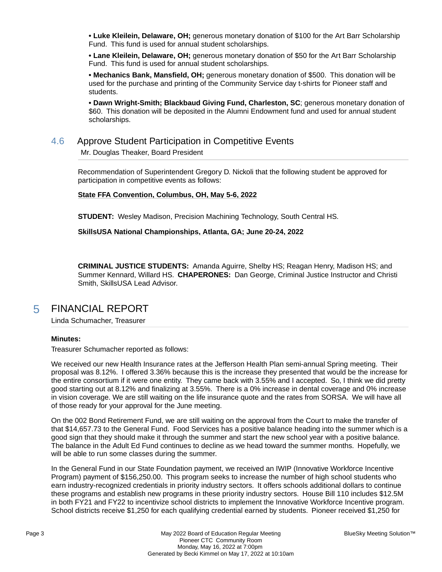**• Luke Kleilein, Delaware, OH;** generous monetary donation of \$100 for the Art Barr Scholarship Fund. This fund is used for annual student scholarships.

**• Lane Kleilein, Delaware, OH;** generous monetary donation of \$50 for the Art Barr Scholarship Fund. This fund is used for annual student scholarships.

**• Mechanics Bank, Mansfield, OH;** generous monetary donation of \$500. This donation will be used for the purchase and printing of the Community Service day t-shirts for Pioneer staff and students.

**• Dawn Wright-Smith; Blackbaud Giving Fund, Charleston, SC**; generous monetary donation of \$60. This donation will be deposited in the Alumni Endowment fund and used for annual student scholarships.

### 4.6 Approve Student Participation in Competitive Events Mr. Douglas Theaker, Board President

Recommendation of Superintendent Gregory D. Nickoli that the following student be approved for participation in competitive events as follows:

**State FFA Convention, Columbus, OH, May 5-6, 2022**

**STUDENT:** Wesley Madison, Precision Machining Technology, South Central HS.

#### **SkillsUSA National Championships, Atlanta, GA; June 20-24, 2022**

**CRIMINAL JUSTICE STUDENTS:** Amanda Aguirre, Shelby HS; Reagan Henry, Madison HS; and Summer Kennard, Willard HS. **CHAPERONES:** Dan George, Criminal Justice Instructor and Christi Smith, SkillsUSA Lead Advisor.

## 5 FINANCIAL REPORT

Linda Schumacher, Treasurer

#### **Minutes:**

Treasurer Schumacher reported as follows:

We received our new Health Insurance rates at the Jefferson Health Plan semi-annual Spring meeting. Their proposal was 8.12%. I offered 3.36% because this is the increase they presented that would be the increase for the entire consortium if it were one entity. They came back with 3.55% and I accepted. So, I think we did pretty good starting out at 8.12% and finalizing at 3.55%. There is a 0% increase in dental coverage and 0% increase in vision coverage. We are still waiting on the life insurance quote and the rates from SORSA. We will have all of those ready for your approval for the June meeting.

On the 002 Bond Retirement Fund, we are still waiting on the approval from the Court to make the transfer of that \$14,657.73 to the General Fund. Food Services has a positive balance heading into the summer which is a good sign that they should make it through the summer and start the new school year with a positive balance. The balance in the Adult Ed Fund continues to decline as we head toward the summer months. Hopefully, we will be able to run some classes during the summer.

In the General Fund in our State Foundation payment, we received an IWIP (Innovative Workforce Incentive Program) payment of \$156,250.00. This program seeks to increase the number of high school students who earn industry-recognized credentials in priority industry sectors. It offers schools additional dollars to continue these programs and establish new programs in these priority industry sectors. House Bill 110 includes \$12.5M in both FY21 and FY22 to incentivize school districts to implement the Innovative Workforce Incentive program. School districts receive \$1,250 for each qualifying credential earned by students. Pioneer received \$1,250 for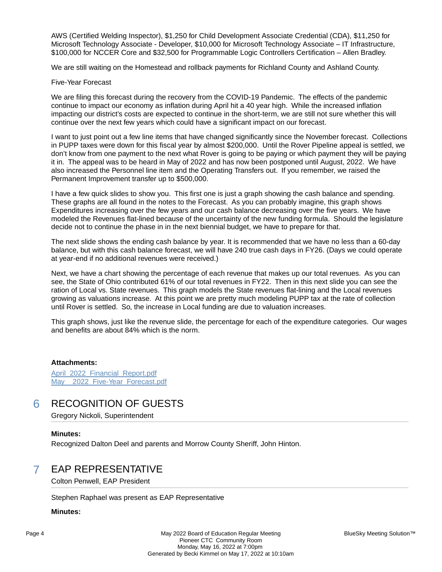AWS (Certified Welding Inspector), \$1,250 for Child Development Associate Credential (CDA), \$11,250 for Microsoft Technology Associate - Developer, \$10,000 for Microsoft Technology Associate – IT Infrastructure, \$100,000 for NCCER Core and \$32,500 for Programmable Logic Controllers Certification – Allen Bradley.

We are still waiting on the Homestead and rollback payments for Richland County and Ashland County.

#### Five-Year Forecast

We are filing this forecast during the recovery from the COVID-19 Pandemic. The effects of the pandemic continue to impact our economy as inflation during April hit a 40 year high. While the increased inflation impacting our district's costs are expected to continue in the short-term, we are still not sure whether this will continue over the next few years which could have a significant impact on our forecast.

I want to just point out a few line items that have changed significantly since the November forecast. Collections in PUPP taxes were down for this fiscal year by almost \$200,000. Until the Rover Pipeline appeal is settled, we don't know from one payment to the next what Rover is going to be paying or which payment they will be paying it in. The appeal was to be heard in May of 2022 and has now been postponed until August, 2022. We have also increased the Personnel line item and the Operating Transfers out. If you remember, we raised the Permanent Improvement transfer up to \$500,000.

I have a few quick slides to show you. This first one is just a graph showing the cash balance and spending. These graphs are all found in the notes to the Forecast. As you can probably imagine, this graph shows Expenditures increasing over the few years and our cash balance decreasing over the five years. We have modeled the Revenues flat-lined because of the uncertainty of the new funding formula. Should the legislature decide not to continue the phase in in the next biennial budget, we have to prepare for that.

The next slide shows the ending cash balance by year. It is recommended that we have no less than a 60-day balance, but with this cash balance forecast, we will have 240 true cash days in FY26. (Days we could operate at year-end if no additional revenues were received.)

Next, we have a chart showing the percentage of each revenue that makes up our total revenues. As you can see, the State of Ohio contributed 61% of our total revenues in FY22. Then in this next slide you can see the ration of Local vs. State revenues. This graph models the State revenues flat-lining and the Local revenues growing as valuations increase. At this point we are pretty much modeling PUPP tax at the rate of collection until Rover is settled. So, the increase in Local funding are due to valuation increases.

This graph shows, just like the revenue slide, the percentage for each of the expenditure categories. Our wages and benefits are about 84% which is the norm.

#### **Attachments:**

April 2022 Financial Report.pdf May 2022 Five-Year Forecast.pdf

### 6 RECOGNITION OF GUESTS

Gregory Nickoli, Superintendent

#### **Minutes:**

Recognized Dalton Deel and parents and Morrow County Sheriff, John Hinton.

### 7 EAP REPRESENTATIVE

Colton Penwell, EAP President

Stephen Raphael was present as EAP Representative

#### **Minutes:**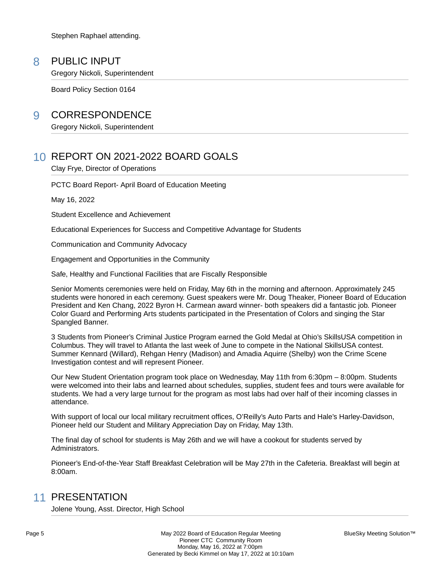Stephen Raphael attending.

### 8 PUBLIC INPUT

Gregory Nickoli, Superintendent

Board Policy Section 0164

### 9 CORRESPONDENCE

Gregory Nickoli, Superintendent

## 10 REPORT ON 2021-2022 BOARD GOALS

Clay Frye, Director of Operations

PCTC Board Report- April Board of Education Meeting

May 16, 2022

Student Excellence and Achievement

Educational Experiences for Success and Competitive Advantage for Students

Communication and Community Advocacy

Engagement and Opportunities in the Community

Safe, Healthy and Functional Facilities that are Fiscally Responsible

Senior Moments ceremonies were held on Friday, May 6th in the morning and afternoon. Approximately 245 students were honored in each ceremony. Guest speakers were Mr. Doug Theaker, Pioneer Board of Education President and Ken Chang, 2022 Byron H. Carmean award winner- both speakers did a fantastic job. Pioneer Color Guard and Performing Arts students participated in the Presentation of Colors and singing the Star Spangled Banner.

3 Students from Pioneer's Criminal Justice Program earned the Gold Medal at Ohio's SkillsUSA competition in Columbus. They will travel to Atlanta the last week of June to compete in the National SkillsUSA contest. Summer Kennard (Willard), Rehgan Henry (Madison) and Amadia Aquirre (Shelby) won the Crime Scene Investigation contest and will represent Pioneer.

Our New Student Orientation program took place on Wednesday, May 11th from 6:30pm – 8:00pm. Students were welcomed into their labs and learned about schedules, supplies, student fees and tours were available for students. We had a very large turnout for the program as most labs had over half of their incoming classes in attendance.

With support of local our local military recruitment offices, O'Reilly's Auto Parts and Hale's Harley-Davidson, Pioneer held our Student and Military Appreciation Day on Friday, May 13th.

The final day of school for students is May 26th and we will have a cookout for students served by Administrators.

Pioneer's End-of-the-Year Staff Breakfast Celebration will be May 27th in the Cafeteria. Breakfast will begin at 8:00am.

## 11 PRESENTATION

Jolene Young, Asst. Director, High School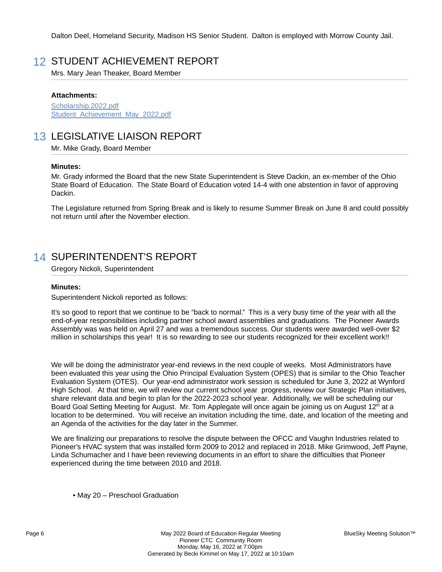Dalton Deel, Homeland Security, Madison HS Senior Student. Dalton is employed with Morrow County Jail.

## 12 STUDENT ACHIEVEMENT REPORT

Mrs. Mary Jean Theaker, Board Member

#### **Attachments:**

Scholarship.2022.pdf Student Achievement May 2022.pdf

## 13 LEGISLATIVE LIAISON REPORT

Mr. Mike Grady, Board Member

#### **Minutes:**

Mr. Grady informed the Board that the new State Superintendent is Steve Dackin, an ex-member of the Ohio State Board of Education. The State Board of Education voted 14-4 with one abstention in favor of approving Dackin.

The Legislature returned from Spring Break and is likely to resume Summer Break on June 8 and could possibly not return until after the November election.

## 14 SUPERINTENDENT'S REPORT

Gregory Nickoli, Superintendent

#### **Minutes:**

Superintendent Nickoli reported as follows:

It's so good to report that we continue to be "back to normal." This is a very busy time of the year with all the end-of-year responsibilities including partner school award assemblies and graduations. The Pioneer Awards Assembly was was held on April 27 and was a tremendous success. Our students were awarded well-over \$2 million in scholarships this year! It is so rewarding to see our students recognized for their excellent work!!

We will be doing the administrator year-end reviews in the next couple of weeks. Most Administrators have been evaluated this year using the Ohio Principal Evaluation System (OPES) that is similar to the Ohio Teacher Evaluation System (OTES). Our year-end administrator work session is scheduled for June 3, 2022 at Wynford High School. At that time, we will review our current school year progress, review our Strategic Plan initiatives, share relevant data and begin to plan for the 2022-2023 school year. Additionally, we will be scheduling our Board Goal Setting Meeting for August. Mr. Tom Applegate will once again be joining us on August 12<sup>th</sup> at a location to be determined. You will receive an invitation including the time, date, and location of the meeting and an Agenda of the activities for the day later in the Summer.

We are finalizing our preparations to resolve the dispute between the OFCC and Vaughn Industries related to Pioneer's HVAC system that was installed form 2009 to 2012 and replaced in 2018. Mike Grimwood, Jeff Payne, Linda Schumacher and I have been reviewing documents in an effort to share the difficulties that Pioneer experienced during the time between 2010 and 2018.

• May 20 – Preschool Graduation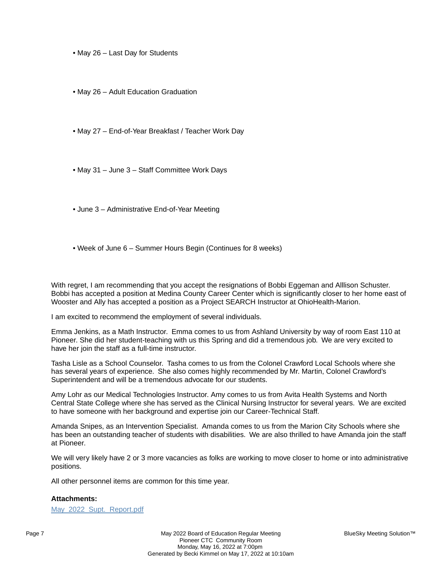• May 26 – Last Day for Students

• May 26 – Adult Education Graduation

• May 27 – End-of-Year Breakfast / Teacher Work Day

• May 31 – June 3 – Staff Committee Work Days

• June 3 – Administrative End-of-Year Meeting

• Week of June 6 – Summer Hours Begin (Continues for 8 weeks)

With regret, I am recommending that you accept the resignations of Bobbi Eggeman and Alllison Schuster. Bobbi has accepted a position at Medina County Career Center which is significantly closer to her home east of Wooster and Ally has accepted a position as a Project SEARCH Instructor at OhioHealth-Marion.

I am excited to recommend the employment of several individuals.

Emma Jenkins, as a Math Instructor. Emma comes to us from Ashland University by way of room East 110 at Pioneer. She did her student-teaching with us this Spring and did a tremendous job. We are very excited to have her join the staff as a full-time instructor.

Tasha Lisle as a School Counselor. Tasha comes to us from the Colonel Crawford Local Schools where she has several years of experience. She also comes highly recommended by Mr. Martin, Colonel Crawford's Superintendent and will be a tremendous advocate for our students.

Amy Lohr as our Medical Technologies Instructor. Amy comes to us from Avita Health Systems and North Central State College where she has served as the Clinical Nursing Instructor for several years. We are excited to have someone with her background and expertise join our Career-Technical Staff.

Amanda Snipes, as an Intervention Specialist. Amanda comes to us from the Marion City Schools where she has been an outstanding teacher of students with disabilities. We are also thrilled to have Amanda join the staff at Pioneer.

We will very likely have 2 or 3 more vacancies as folks are working to move closer to home or into administrative positions.

All other personnel items are common for this time year.

#### **Attachments:**

May\_2022\_Supt.\_Report.pdf